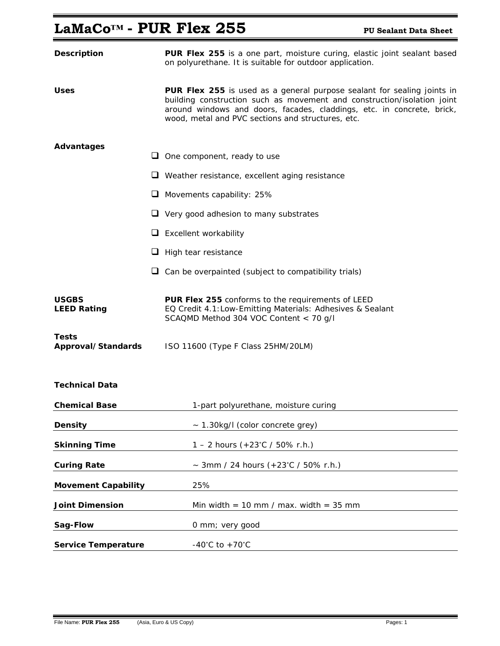# LaMaCo<sup>™</sup> - PUR Flex 255 PU Sealant Data Sheet

| <b>Description</b>                 | <b>PUR Flex 255</b> is a one part, moisture curing, elastic joint sealant based<br>on polyurethane. It is suitable for outdoor application.                                                                                                                                       |
|------------------------------------|-----------------------------------------------------------------------------------------------------------------------------------------------------------------------------------------------------------------------------------------------------------------------------------|
| Uses                               | PUR Flex 255 is used as a general purpose sealant for sealing joints in<br>building construction such as movement and construction/isolation joint<br>around windows and doors, facades, claddings, etc. in concrete, brick,<br>wood, metal and PVC sections and structures, etc. |
| <b>Advantages</b>                  |                                                                                                                                                                                                                                                                                   |
|                                    | $\Box$ One component, ready to use                                                                                                                                                                                                                                                |
|                                    | $\Box$ Weather resistance, excellent aging resistance                                                                                                                                                                                                                             |
|                                    | $\Box$ Movements capability: 25%                                                                                                                                                                                                                                                  |
|                                    | $\Box$ Very good adhesion to many substrates                                                                                                                                                                                                                                      |
|                                    | $\Box$ Excellent workability                                                                                                                                                                                                                                                      |
|                                    | $\Box$ High tear resistance                                                                                                                                                                                                                                                       |
|                                    | $\Box$ Can be overpainted (subject to compatibility trials)                                                                                                                                                                                                                       |
| <b>USGBS</b><br><b>LEED Rating</b> | PUR Flex 255 conforms to the requirements of LEED<br>EQ Credit 4.1:Low-Emitting Materials: Adhesives & Sealant<br>SCAQMD Method 304 VOC Content < 70 g/l                                                                                                                          |
| Tests<br>Approval/Standards        | ISO 11600 (Type F Class 25HM/20LM)                                                                                                                                                                                                                                                |
| <b>Technical Data</b>              |                                                                                                                                                                                                                                                                                   |
| <b>Chemical Base</b>               | 1-part polyurethane, moisture curing                                                                                                                                                                                                                                              |
| <b>Density</b>                     | ~ 1.30kg/I (color concrete grey)                                                                                                                                                                                                                                                  |
| <b>Skinning Time</b>               | 1 – 2 hours $(+23^{\circ}C / 50\%$ r.h.)                                                                                                                                                                                                                                          |
| <b>Curing Rate</b>                 | ~ 3mm / 24 hours $(+23^{\circ}C / 50\%$ r.h.)                                                                                                                                                                                                                                     |
| <b>Movement Capability</b>         | 25%                                                                                                                                                                                                                                                                               |
| <b>Joint Dimension</b>             | Min width = 10 mm / max. width = $35$ mm                                                                                                                                                                                                                                          |
| Sag-Flow                           | 0 mm; very good                                                                                                                                                                                                                                                                   |
| <b>Service Temperature</b>         | $-40^{\circ}$ C to $+70^{\circ}$ C                                                                                                                                                                                                                                                |

Ξ

Ξ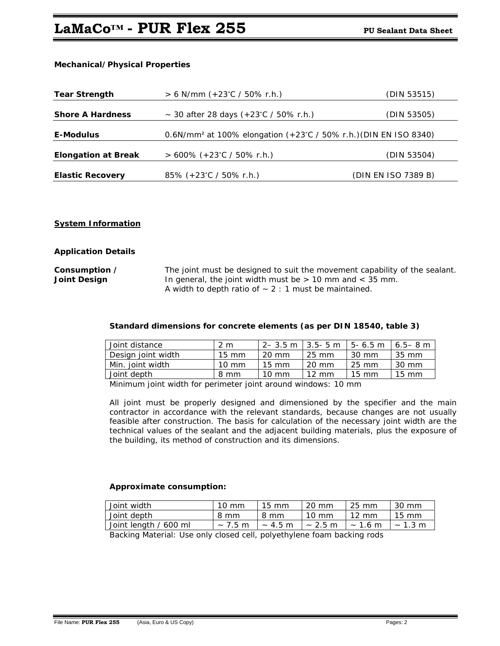## **LaMaCo™ - PUR Flex 255** PU Sealant Data Sheet

### **Mechanical/Physical Properties**

| <b>Tear Strength</b>       | $> 6$ N/mm (+23°C / 50% r.h.)                                                | (DIN 53515)         |
|----------------------------|------------------------------------------------------------------------------|---------------------|
| <b>Shore A Hardness</b>    | ~ 30 after 28 days $(+23^{\circ}C / 50\%$ r.h.)                              | (DIN 53505)         |
| E-Modulus                  | 0.6N/mm <sup>2</sup> at 100% elongation (+23°C / 50% r.h.) (DIN EN ISO 8340) |                     |
| <b>Elongation at Break</b> | $> 600\%$ (+23°C / 50% r.h.)                                                 | (DIN 53504)         |
| <b>Elastic Recovery</b>    | 85% $(+23^{\circ}C / 50\%$ r.h.)                                             | (DIN EN ISO 7389 B) |

#### **System Information**

#### **Application Details**

### **Consumption /** The joint must be designed to suit the movement capability of the sealant. **Joint Design In general, the joint width must be > 10 mm and < 35 mm.** A width to depth ratio of  $\sim$  2 : 1 must be maintained.

#### **Standard dimensions for concrete elements (as per DIN 18540, table 3)**

| Joint distance     | 2 m             | $2 - 3.5$ m   3.5 - 5 m |                 | $15 - 6.5$ m    | l 6.5–8 m       |
|--------------------|-----------------|-------------------------|-----------------|-----------------|-----------------|
| Design joint width | $15 \text{ mm}$ | $20 \text{ mm}$         | 25 mm           | 30 mm           | 35 mm           |
| Min. joint width   | $10 \text{ mm}$ | $15 \text{ mm}$         | 20 mm           | 25 mm           | 30 mm           |
| Joint depth        | 8 mm            | $10 \text{ mm}$         | $12 \text{ mm}$ | $15 \text{ mm}$ | $15 \text{ mm}$ |

Minimum joint width for perimeter joint around windows: 10 mm

 All joint must be properly designed and dimensioned by the specifier and the main contractor in accordance with the relevant standards, because changes are not usually feasible after construction. The basis for calculation of the necessary joint width are the technical values of the sealant and the adjacent building materials, plus the exposure of the building, its method of construction and its dimensions.

#### **Approximate consumption:**

| Joint width           | $10 \text{ mm}$ | 15 mm        | 20 mm           | $-25$ mm        | 30 mm                |
|-----------------------|-----------------|--------------|-----------------|-----------------|----------------------|
| Joint depth           | 8 mm            | 8 mm         | $10 \text{ mm}$ | $12 \text{ mm}$ | $15 \text{ mm}$      |
| Joint length / 600 ml | $\sim$ 7.5 m    | $\sim$ 4.5 m | $\sim$ 2.5 m    | $\sim 1.6$ m    | $~\sim 1.3~\text{m}$ |

Backing Material: Use only closed cell, polyethylene foam backing rods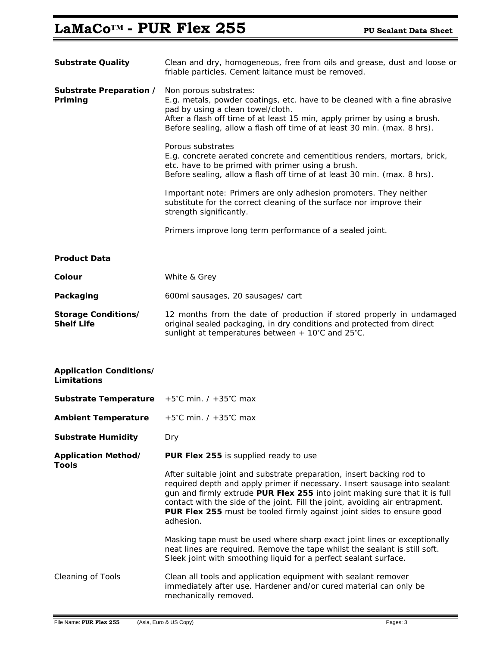# LaMaCo<sup>™</sup> - PUR Flex 255 PU Sealant Data Sheet

| <b>Substrate Quality</b>                      | Clean and dry, homogeneous, free from oils and grease, dust and loose or<br>friable particles. Cement laitance must be removed.                                                                                                                                                                                                                                                                        |
|-----------------------------------------------|--------------------------------------------------------------------------------------------------------------------------------------------------------------------------------------------------------------------------------------------------------------------------------------------------------------------------------------------------------------------------------------------------------|
| Substrate Preparation /<br>Priming            | Non porous substrates:<br>E.g. metals, powder coatings, etc. have to be cleaned with a fine abrasive<br>pad by using a clean towel/cloth.<br>After a flash off time of at least 15 min, apply primer by using a brush.<br>Before sealing, allow a flash off time of at least 30 min. (max. 8 hrs).                                                                                                     |
|                                               | Porous substrates<br>E.g. concrete aerated concrete and cementitious renders, mortars, brick,<br>etc. have to be primed with primer using a brush.<br>Before sealing, allow a flash off time of at least 30 min. (max. 8 hrs).                                                                                                                                                                         |
|                                               | Important note: Primers are only adhesion promoters. They neither<br>substitute for the correct cleaning of the surface nor improve their<br>strength significantly.                                                                                                                                                                                                                                   |
|                                               | Primers improve long term performance of a sealed joint.                                                                                                                                                                                                                                                                                                                                               |
| <b>Product Data</b>                           |                                                                                                                                                                                                                                                                                                                                                                                                        |
| Colour                                        | White & Grey                                                                                                                                                                                                                                                                                                                                                                                           |
| Packaging                                     | 600ml sausages, 20 sausages/ cart                                                                                                                                                                                                                                                                                                                                                                      |
| Storage Conditions/<br><b>Shelf Life</b>      | 12 months from the date of production if stored properly in undamaged<br>original sealed packaging, in dry conditions and protected from direct<br>sunlight at temperatures between + 10°C and 25°C.                                                                                                                                                                                                   |
| <b>Application Conditions/</b><br>Limitations |                                                                                                                                                                                                                                                                                                                                                                                                        |
| <b>Substrate Temperature</b>                  | $+5^{\circ}$ C min. / $+35^{\circ}$ C max                                                                                                                                                                                                                                                                                                                                                              |
| <b>Ambient Temperature</b>                    | $+5^{\circ}$ C min. / $+35^{\circ}$ C max                                                                                                                                                                                                                                                                                                                                                              |
| <b>Substrate Humidity</b>                     | Dry                                                                                                                                                                                                                                                                                                                                                                                                    |
| Application Method/<br><b>Tools</b>           | PUR Flex 255 is supplied ready to use                                                                                                                                                                                                                                                                                                                                                                  |
|                                               | After suitable joint and substrate preparation, insert backing rod to<br>required depth and apply primer if necessary. Insert sausage into sealant<br>gun and firmly extrude PUR Flex 255 into joint making sure that it is full<br>contact with the side of the joint. Fill the joint, avoiding air entrapment.<br>PUR Flex 255 must be tooled firmly against joint sides to ensure good<br>adhesion. |
|                                               | Masking tape must be used where sharp exact joint lines or exceptionally<br>neat lines are required. Remove the tape whilst the sealant is still soft.<br>Sleek joint with smoothing liquid for a perfect sealant surface.                                                                                                                                                                             |
| <b>Cleaning of Tools</b>                      | Clean all tools and application equipment with sealant remover<br>immediately after use. Hardener and/or cured material can only be<br>mechanically removed.                                                                                                                                                                                                                                           |

Ξ

Ξ